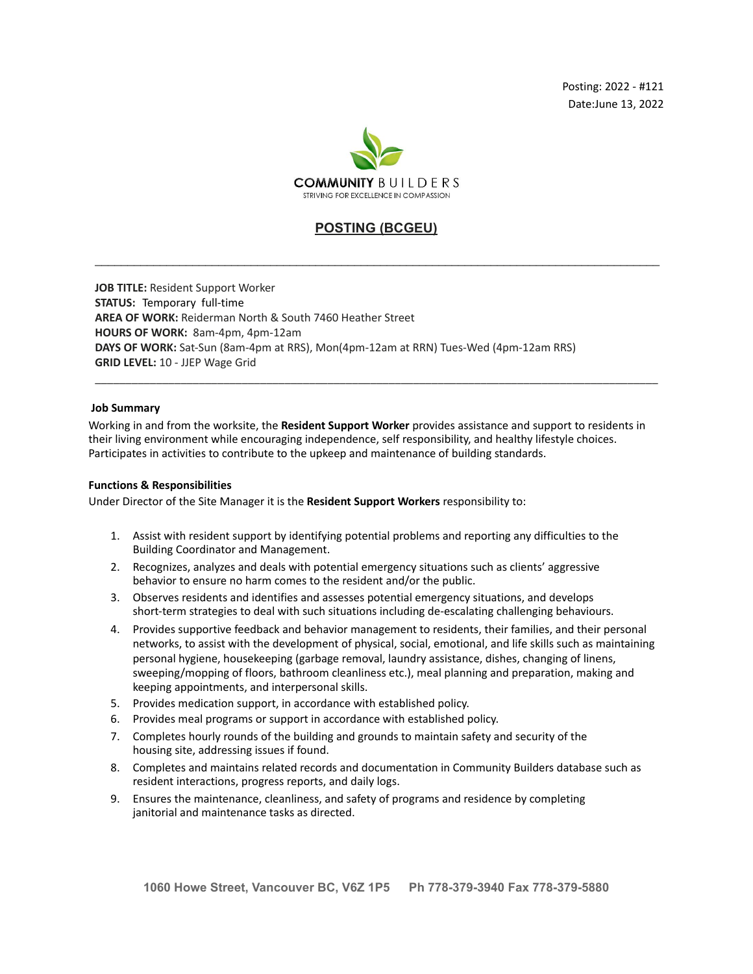

# **POSTING (BCGEU)**

\_\_\_\_\_\_\_\_\_\_\_\_\_\_\_\_\_\_\_\_\_\_\_\_\_\_\_\_\_\_\_\_\_\_\_\_\_\_\_\_\_\_\_\_\_\_\_\_\_\_\_\_\_\_\_\_\_\_\_\_\_\_\_\_\_\_\_\_\_\_\_\_\_\_\_\_\_\_\_\_\_\_\_\_\_\_\_

**JOB TITLE:** Resident Support Worker **STATUS:** Temporary full-time **AREA OF WORK:** Reiderman North & South 7460 Heather Street **HOURS OF WORK:** 8am-4pm, 4pm-12am **DAYS OF WORK:** Sat-Sun (8am-4pm at RRS), Mon(4pm-12am at RRN) Tues-Wed (4pm-12am RRS) **GRID LEVEL:** 10 - JJEP Wage Grid

## **Job Summary**

Working in and from the worksite, the **Resident Support Worker** provides assistance and support to residents in their living environment while encouraging independence, self responsibility, and healthy lifestyle choices. Participates in activities to contribute to the upkeep and maintenance of building standards.

\_\_\_\_\_\_\_\_\_\_\_\_\_\_\_\_\_\_\_\_\_\_\_\_\_\_\_\_\_\_\_\_\_\_\_\_\_\_\_\_\_\_\_\_\_\_\_\_\_\_\_\_\_\_\_\_\_\_\_\_\_\_\_\_\_\_\_\_\_\_\_\_\_\_\_\_\_\_\_\_\_\_\_\_\_\_\_\_\_\_\_\_

## **Functions & Responsibilities**

Under Director of the Site Manager it is the **Resident Support Workers** responsibility to:

- 1. Assist with resident support by identifying potential problems and reporting any difficulties to the Building Coordinator and Management.
- 2. Recognizes, analyzes and deals with potential emergency situations such as clients' aggressive behavior to ensure no harm comes to the resident and/or the public.
- 3. Observes residents and identifies and assesses potential emergency situations, and develops short-term strategies to deal with such situations including de-escalating challenging behaviours.
- 4. Provides supportive feedback and behavior management to residents, their families, and their personal networks, to assist with the development of physical, social, emotional, and life skills such as maintaining personal hygiene, housekeeping (garbage removal, laundry assistance, dishes, changing of linens, sweeping/mopping of floors, bathroom cleanliness etc.), meal planning and preparation, making and keeping appointments, and interpersonal skills.
- 5. Provides medication support, in accordance with established policy.
- 6. Provides meal programs or support in accordance with established policy.
- 7. Completes hourly rounds of the building and grounds to maintain safety and security of the housing site, addressing issues if found.
- 8. Completes and maintains related records and documentation in Community Builders database such as resident interactions, progress reports, and daily logs.
- 9. Ensures the maintenance, cleanliness, and safety of programs and residence by completing janitorial and maintenance tasks as directed.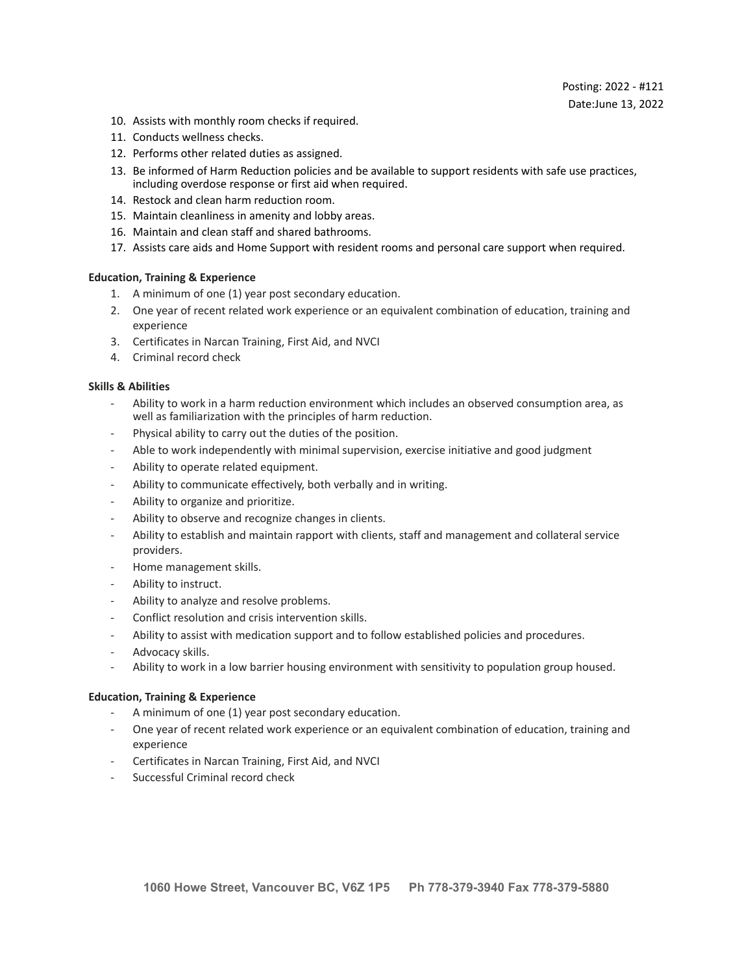- 10. Assists with monthly room checks if required.
- 11. Conducts wellness checks.
- 12. Performs other related duties as assigned.
- 13. Be informed of Harm Reduction policies and be available to support residents with safe use practices, including overdose response or first aid when required.
- 14. Restock and clean harm reduction room.
- 15. Maintain cleanliness in amenity and lobby areas.
- 16. Maintain and clean staff and shared bathrooms.
- 17. Assists care aids and Home Support with resident rooms and personal care support when required.

# **Education, Training & Experience**

- 1. A minimum of one (1) year post secondary education.
- 2. One year of recent related work experience or an equivalent combination of education, training and experience
- 3. Certificates in Narcan Training, First Aid, and NVCI
- 4. Criminal record check

# **Skills & Abilities**

- Ability to work in a harm reduction environment which includes an observed consumption area, as well as familiarization with the principles of harm reduction.
- Physical ability to carry out the duties of the position.
- Able to work independently with minimal supervision, exercise initiative and good judgment
- Ability to operate related equipment.
- Ability to communicate effectively, both verbally and in writing.
- Ability to organize and prioritize.
- Ability to observe and recognize changes in clients.
- Ability to establish and maintain rapport with clients, staff and management and collateral service providers.
- Home management skills.
- Ability to instruct.
- Ability to analyze and resolve problems.
- Conflict resolution and crisis intervention skills.
- Ability to assist with medication support and to follow established policies and procedures.
- Advocacy skills.
- Ability to work in a low barrier housing environment with sensitivity to population group housed.

## **Education, Training & Experience**

- A minimum of one (1) year post secondary education.
- One year of recent related work experience or an equivalent combination of education, training and experience
- Certificates in Narcan Training, First Aid, and NVCI
- Successful Criminal record check